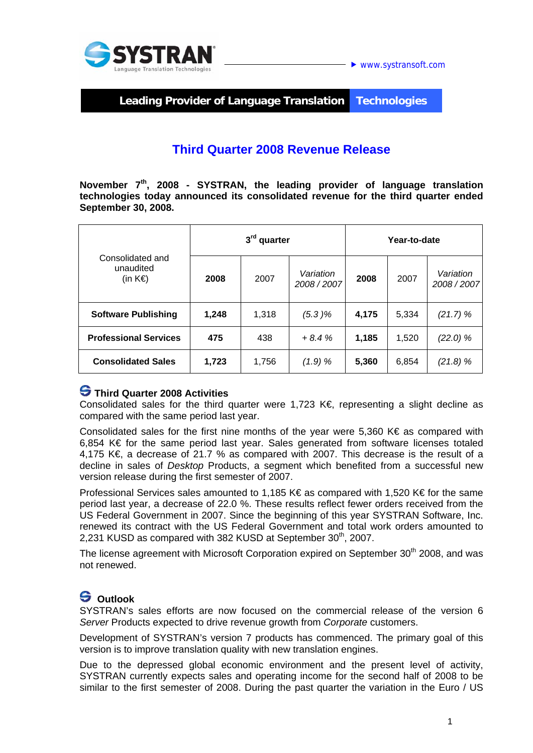



**Leading Provider of Language Translation Technologies** 

# **Third Quarter 2008 Revenue Release**

**November 7th, 2008 - SYSTRAN, the leading provider of language translation technologies today announced its consolidated revenue for the third quarter ended September 30, 2008.** 

| Consolidated and<br>unaudited<br>(in $K \in \mathbb{R}$ ) | 3rd quarter |       |                        | Year-to-date |       |                        |
|-----------------------------------------------------------|-------------|-------|------------------------|--------------|-------|------------------------|
|                                                           | 2008        | 2007  | Variation<br>2008/2007 | 2008         | 2007  | Variation<br>2008/2007 |
| <b>Software Publishing</b>                                | 1,248       | 1,318 | (5.3)%                 | 4,175        | 5,334 | (21.7) %               |
| <b>Professional Services</b>                              | 475         | 438   | $+8.4%$                | 1,185        | 1,520 | (22.0) %               |
| <b>Consolidated Sales</b>                                 | 1,723       | 1,756 | (1.9) %                | 5,360        | 6,854 | (21.8)%                |

#### **Third Quarter 2008 Activities**

Consolidated sales for the third quarter were 1,723 K $\epsilon$ , representing a slight decline as compared with the same period last year.

Consolidated sales for the first nine months of the year were 5,360 K€ as compared with 6,854 K€ for the same period last year. Sales generated from software licenses totaled 4,175 K€, a decrease of 21.7 % as compared with 2007. This decrease is the result of a decline in sales of *Desktop* Products, a segment which benefited from a successful new version release during the first semester of 2007.

Professional Services sales amounted to 1,185 K€ as compared with 1,520 K€ for the same period last year, a decrease of 22.0 %. These results reflect fewer orders received from the US Federal Government in 2007. Since the beginning of this year SYSTRAN Software, Inc. renewed its contract with the US Federal Government and total work orders amounted to 2.231 KUSD as compared with 382 KUSD at September 30<sup>th</sup>, 2007.

The license agreement with Microsoft Corporation expired on September 30<sup>th</sup> 2008, and was not renewed.

## **Outlook**

SYSTRAN's sales efforts are now focused on the commercial release of the version 6 *Server* Products expected to drive revenue growth from *Corporate* customers.

Development of SYSTRAN's version 7 products has commenced. The primary goal of this version is to improve translation quality with new translation engines.

Due to the depressed global economic environment and the present level of activity, SYSTRAN currently expects sales and operating income for the second half of 2008 to be similar to the first semester of 2008. During the past quarter the variation in the Euro / US